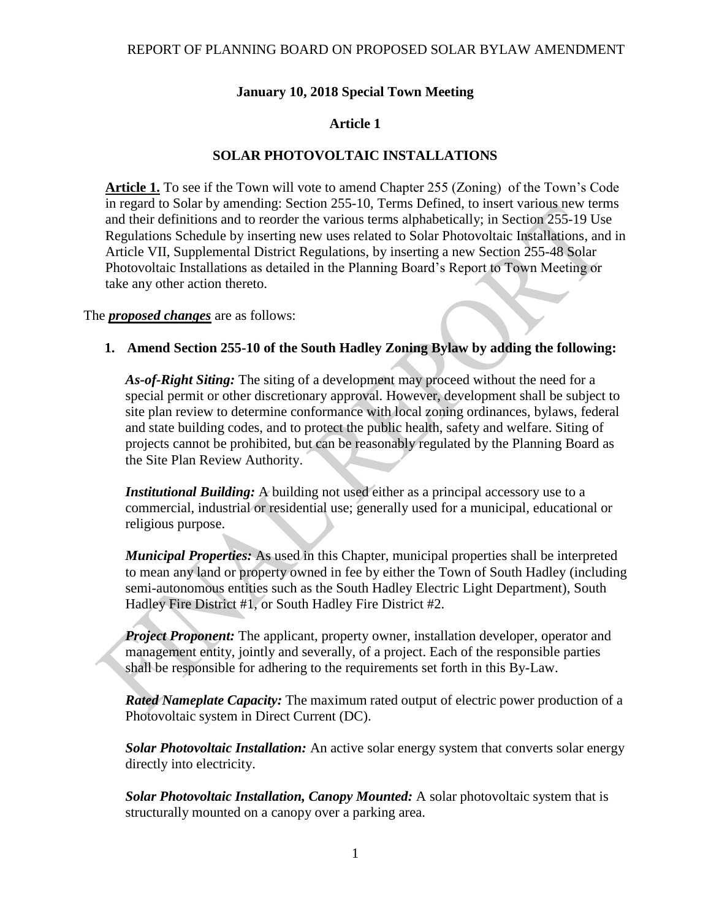### **January 10, 2018 Special Town Meeting**

### **Article 1**

## **SOLAR PHOTOVOLTAIC INSTALLATIONS**

**Article 1.** To see if the Town will vote to amend Chapter 255 (Zoning) of the Town's Code in regard to Solar by amending: Section 255-10, Terms Defined, to insert various new terms and their definitions and to reorder the various terms alphabetically; in Section 255-19 Use Regulations Schedule by inserting new uses related to Solar Photovoltaic Installations, and in Article VII, Supplemental District Regulations, by inserting a new Section 255-48 Solar Photovoltaic Installations as detailed in the Planning Board's Report to Town Meeting or take any other action thereto.

The *proposed changes* are as follows:

#### **1. Amend Section 255-10 of the South Hadley Zoning Bylaw by adding the following:**

*As-of-Right Siting:* The siting of a development may proceed without the need for a special permit or other discretionary approval. However, development shall be subject to site plan review to determine conformance with local zoning ordinances, bylaws, federal and state building codes, and to protect the public health, safety and welfare. Siting of projects cannot be prohibited, but can be reasonably regulated by the Planning Board as the Site Plan Review Authority.

*Institutional Building:* A building not used either as a principal accessory use to a commercial, industrial or residential use; generally used for a municipal, educational or religious purpose.

*Municipal Properties:* As used in this Chapter, municipal properties shall be interpreted to mean any land or property owned in fee by either the Town of South Hadley (including semi-autonomous entities such as the South Hadley Electric Light Department), South Hadley Fire District #1, or South Hadley Fire District #2.

*Project Proponent:* The applicant, property owner, installation developer, operator and management entity, jointly and severally, of a project. Each of the responsible parties shall be responsible for adhering to the requirements set forth in this By-Law.

*Rated Nameplate Capacity:* The maximum rated output of electric power production of a Photovoltaic system in Direct Current (DC).

*Solar Photovoltaic Installation:* An active solar energy system that converts solar energy directly into electricity.

*Solar Photovoltaic Installation, Canopy Mounted:* A solar photovoltaic system that is structurally mounted on a canopy over a parking area.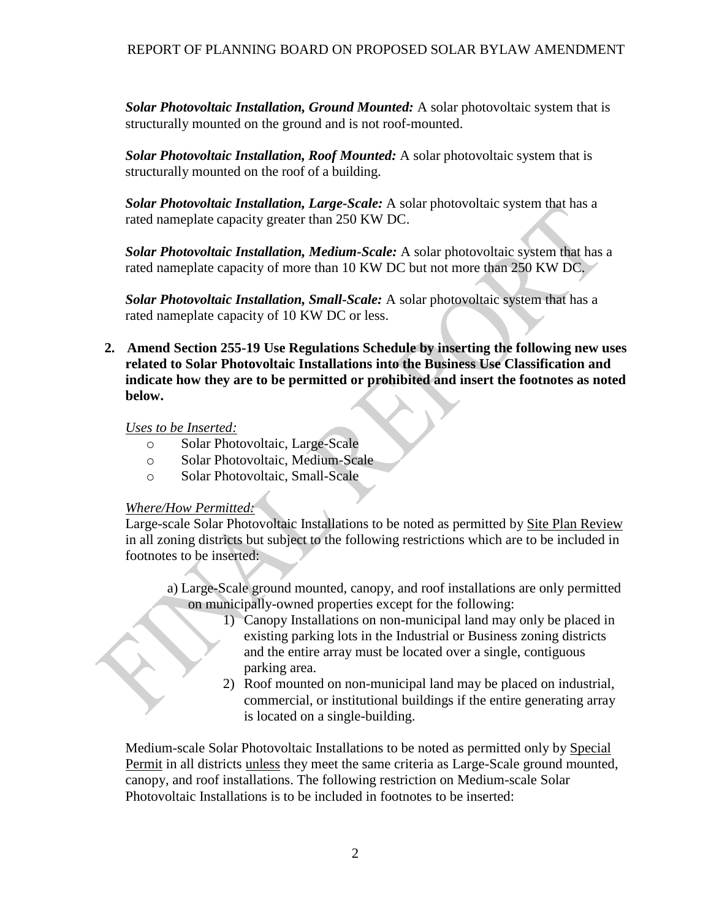*Solar Photovoltaic Installation, Ground Mounted:* A solar photovoltaic system that is structurally mounted on the ground and is not roof-mounted.

*Solar Photovoltaic Installation, Roof Mounted:* A solar photovoltaic system that is structurally mounted on the roof of a building.

*Solar Photovoltaic Installation, Large-Scale:* A solar photovoltaic system that has a rated nameplate capacity greater than 250 KW DC.

*Solar Photovoltaic Installation, Medium-Scale:* A solar photovoltaic system that has a rated nameplate capacity of more than 10 KW DC but not more than 250 KW DC.

*Solar Photovoltaic Installation, Small-Scale:* A solar photovoltaic system that has a rated nameplate capacity of 10 KW DC or less.

**2. Amend Section 255-19 Use Regulations Schedule by inserting the following new uses related to Solar Photovoltaic Installations into the Business Use Classification and indicate how they are to be permitted or prohibited and insert the footnotes as noted below.**

*Uses to be Inserted:*

- o Solar Photovoltaic, Large-Scale
- o Solar Photovoltaic, Medium-Scale
- o Solar Photovoltaic, Small-Scale

#### *Where/How Permitted:*

Large-scale Solar Photovoltaic Installations to be noted as permitted by Site Plan Review in all zoning districts but subject to the following restrictions which are to be included in footnotes to be inserted:

- a) Large-Scale ground mounted, canopy, and roof installations are only permitted on municipally-owned properties except for the following:
	- 1) Canopy Installations on non-municipal land may only be placed in existing parking lots in the Industrial or Business zoning districts and the entire array must be located over a single, contiguous parking area.
	- 2) Roof mounted on non-municipal land may be placed on industrial, commercial, or institutional buildings if the entire generating array is located on a single-building.

Medium-scale Solar Photovoltaic Installations to be noted as permitted only by Special Permit in all districts unless they meet the same criteria as Large-Scale ground mounted, canopy, and roof installations. The following restriction on Medium-scale Solar Photovoltaic Installations is to be included in footnotes to be inserted: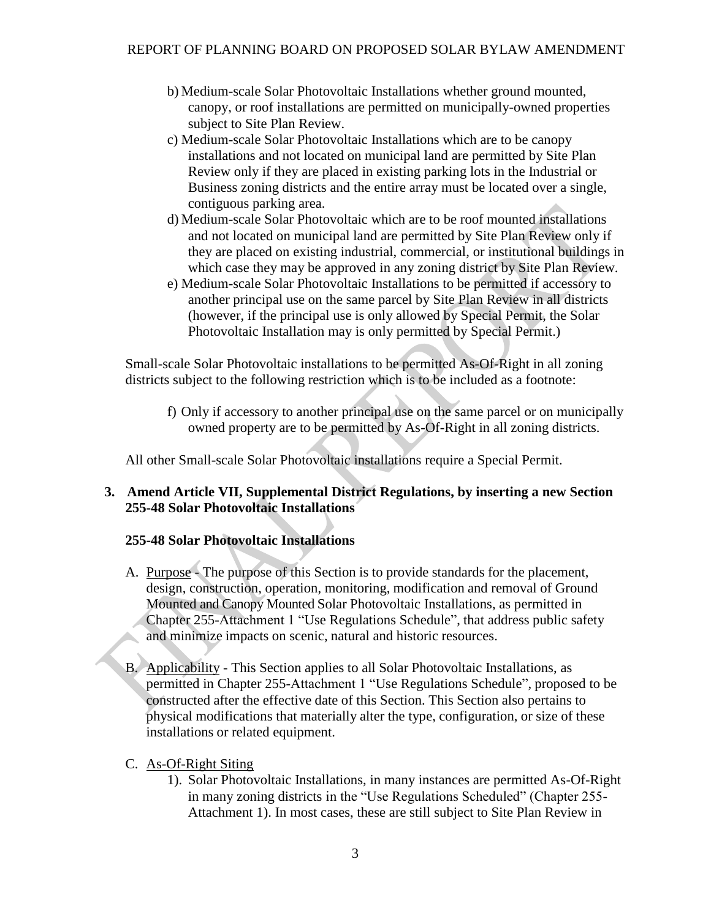- b) Medium-scale Solar Photovoltaic Installations whether ground mounted, canopy, or roof installations are permitted on municipally-owned properties subject to Site Plan Review.
- c) Medium-scale Solar Photovoltaic Installations which are to be canopy installations and not located on municipal land are permitted by Site Plan Review only if they are placed in existing parking lots in the Industrial or Business zoning districts and the entire array must be located over a single, contiguous parking area.
- d) Medium-scale Solar Photovoltaic which are to be roof mounted installations and not located on municipal land are permitted by Site Plan Review only if they are placed on existing industrial, commercial, or institutional buildings in which case they may be approved in any zoning district by Site Plan Review.
- e) Medium-scale Solar Photovoltaic Installations to be permitted if accessory to another principal use on the same parcel by Site Plan Review in all districts (however, if the principal use is only allowed by Special Permit, the Solar Photovoltaic Installation may is only permitted by Special Permit.)

Small-scale Solar Photovoltaic installations to be permitted As-Of-Right in all zoning districts subject to the following restriction which is to be included as a footnote:

f) Only if accessory to another principal use on the same parcel or on municipally owned property are to be permitted by As-Of-Right in all zoning districts.

All other Small-scale Solar Photovoltaic installations require a Special Permit.

## **3. Amend Article VII, Supplemental District Regulations, by inserting a new Section 255-48 Solar Photovoltaic Installations**

# **255-48 Solar Photovoltaic Installations**

- A. Purpose The purpose of this Section is to provide standards for the placement, design, construction, operation, monitoring, modification and removal of Ground Mounted and Canopy Mounted Solar Photovoltaic Installations, as permitted in Chapter 255-Attachment 1 "Use Regulations Schedule", that address public safety and minimize impacts on scenic, natural and historic resources.
- B. Applicability This Section applies to all Solar Photovoltaic Installations, as permitted in Chapter 255-Attachment 1 "Use Regulations Schedule", proposed to be constructed after the effective date of this Section. This Section also pertains to physical modifications that materially alter the type, configuration, or size of these installations or related equipment.

# C. As-Of-Right Siting

1). Solar Photovoltaic Installations, in many instances are permitted As-Of-Right in many zoning districts in the "Use Regulations Scheduled" (Chapter 255- Attachment 1). In most cases, these are still subject to Site Plan Review in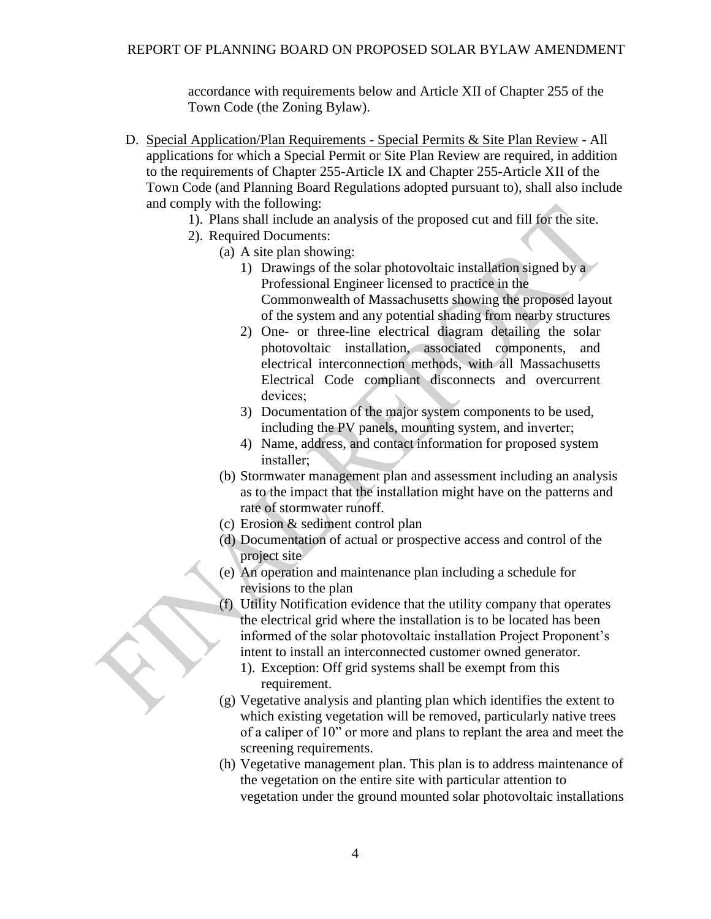accordance with requirements below and Article XII of Chapter 255 of the Town Code (the Zoning Bylaw).

- D. Special Application/Plan Requirements Special Permits & Site Plan Review All applications for which a Special Permit or Site Plan Review are required, in addition to the requirements of Chapter 255-Article IX and Chapter 255-Article XII of the Town Code (and Planning Board Regulations adopted pursuant to), shall also include and comply with the following:
	- 1). Plans shall include an analysis of the proposed cut and fill for the site.
	- 2). Required Documents:
		- (a) A site plan showing:
			- 1) Drawings of the solar photovoltaic installation signed by a Professional Engineer licensed to practice in the Commonwealth of Massachusetts showing the proposed layout of the system and any potential shading from nearby structures
			- 2) One- or three-line electrical diagram detailing the solar photovoltaic installation, associated components, and electrical interconnection methods, with all Massachusetts Electrical Code compliant disconnects and overcurrent devices;
			- 3) Documentation of the major system components to be used, including the PV panels, mounting system, and inverter;
			- 4) Name, address, and contact information for proposed system installer;
		- (b) Stormwater management plan and assessment including an analysis as to the impact that the installation might have on the patterns and rate of stormwater runoff.
		- (c) Erosion & sediment control plan
		- (d) Documentation of actual or prospective access and control of the project site
		- (e) An operation and maintenance plan including a schedule for revisions to the plan
		- (f) Utility Notification evidence that the utility company that operates the electrical grid where the installation is to be located has been informed of the solar photovoltaic installation Project Proponent's intent to install an interconnected customer owned generator.
			- 1). Exception: Off grid systems shall be exempt from this requirement.
		- (g) Vegetative analysis and planting plan which identifies the extent to which existing vegetation will be removed, particularly native trees of a caliper of 10" or more and plans to replant the area and meet the screening requirements.
		- (h) Vegetative management plan. This plan is to address maintenance of the vegetation on the entire site with particular attention to vegetation under the ground mounted solar photovoltaic installations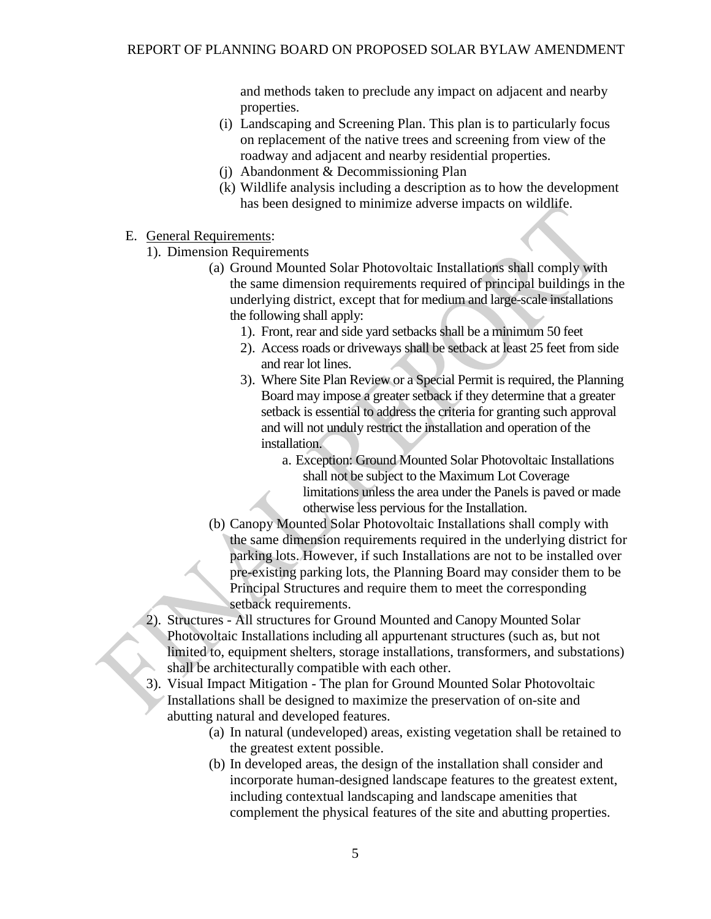and methods taken to preclude any impact on adjacent and nearby properties.

- (i) Landscaping and Screening Plan. This plan is to particularly focus on replacement of the native trees and screening from view of the roadway and adjacent and nearby residential properties.
- (j) Abandonment & Decommissioning Plan
- (k) Wildlife analysis including a description as to how the development has been designed to minimize adverse impacts on wildlife.
- E. General Requirements:
	- 1). Dimension Requirements
		- (a) Ground Mounted Solar Photovoltaic Installations shall comply with the same dimension requirements required of principal buildings in the underlying district, except that for medium and large-scale installations the following shall apply:
			- 1). Front, rear and side yard setbacks shall be a minimum 50 feet
			- 2). Access roads or driveways shall be setback at least 25 feet from side and rear lot lines.
			- 3). Where Site Plan Review or a Special Permit is required, the Planning Board may impose a greater setback if they determine that a greater setback is essential to address the criteria for granting such approval and will not unduly restrict the installation and operation of the installation.
				- a. Exception: Ground Mounted Solar Photovoltaic Installations shall not be subject to the Maximum Lot Coverage limitations unless the area under the Panels is paved or made otherwise less pervious for the Installation.
		- (b) Canopy Mounted Solar Photovoltaic Installations shall comply with the same dimension requirements required in the underlying district for parking lots. However, if such Installations are not to be installed over pre-existing parking lots, the Planning Board may consider them to be Principal Structures and require them to meet the corresponding setback requirements.
	- 2). Structures All structures for Ground Mounted and Canopy Mounted Solar Photovoltaic Installations including all appurtenant structures (such as, but not limited to, equipment shelters, storage installations, transformers, and substations) shall be architecturally compatible with each other.
	- 3). Visual Impact Mitigation The plan for Ground Mounted Solar Photovoltaic Installations shall be designed to maximize the preservation of on-site and abutting natural and developed features.
		- (a) In natural (undeveloped) areas, existing vegetation shall be retained to the greatest extent possible.
		- (b) In developed areas, the design of the installation shall consider and incorporate human-designed landscape features to the greatest extent, including contextual landscaping and landscape amenities that complement the physical features of the site and abutting properties.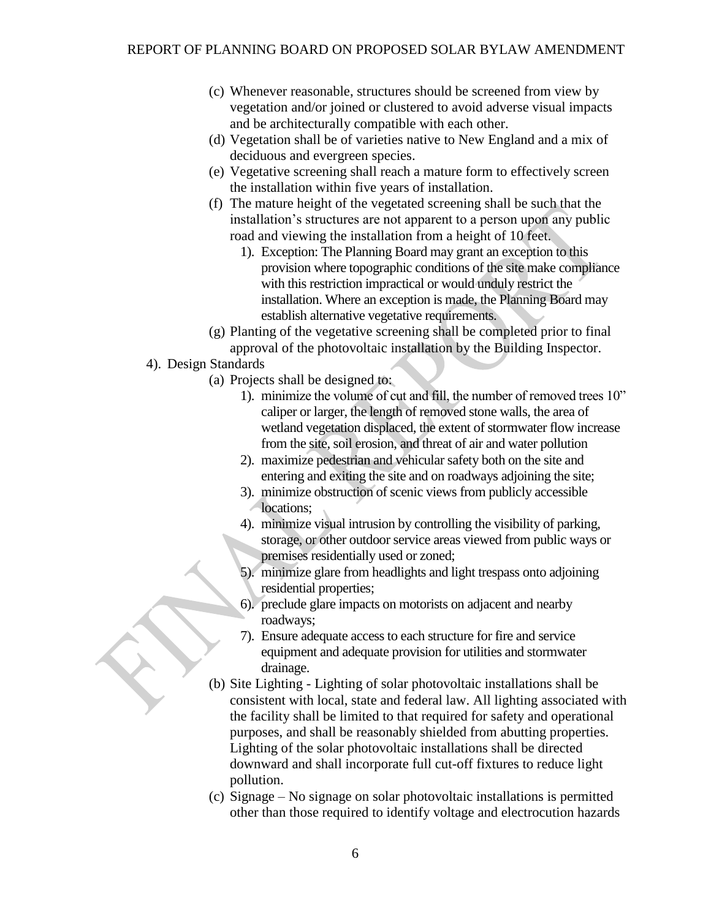- (c) Whenever reasonable, structures should be screened from view by vegetation and/or joined or clustered to avoid adverse visual impacts and be architecturally compatible with each other.
- (d) Vegetation shall be of varieties native to New England and a mix of deciduous and evergreen species.
- (e) Vegetative screening shall reach a mature form to effectively screen the installation within five years of installation.
- (f) The mature height of the vegetated screening shall be such that the installation's structures are not apparent to a person upon any public road and viewing the installation from a height of 10 feet.
	- 1). Exception: The Planning Board may grant an exception to this provision where topographic conditions of the site make compliance with this restriction impractical or would unduly restrict the installation. Where an exception is made, the Planning Board may establish alternative vegetative requirements.
- (g) Planting of the vegetative screening shall be completed prior to final approval of the photovoltaic installation by the Building Inspector.
- 4). Design Standards
	- (a) Projects shall be designed to:
		- 1). minimize the volume of cut and fill, the number of removed trees 10" caliper or larger, the length of removed stone walls, the area of wetland vegetation displaced, the extent of stormwater flow increase from the site, soil erosion, and threat of air and water pollution
		- 2). maximize pedestrian and vehicular safety both on the site and entering and exiting the site and on roadways adjoining the site;
		- 3). minimize obstruction of scenic views from publicly accessible locations;
		- 4). minimize visual intrusion by controlling the visibility of parking, storage, or other outdoor service areas viewed from public ways or premises residentially used or zoned;
		- 5). minimize glare from headlights and light trespass onto adjoining residential properties;
		- 6). preclude glare impacts on motorists on adjacent and nearby roadways;
		- 7). Ensure adequate access to each structure for fire and service equipment and adequate provision for utilities and stormwater drainage.
	- (b) Site Lighting Lighting of solar photovoltaic installations shall be consistent with local, state and federal law. All lighting associated with the facility shall be limited to that required for safety and operational purposes, and shall be reasonably shielded from abutting properties. Lighting of the solar photovoltaic installations shall be directed downward and shall incorporate full cut-off fixtures to reduce light pollution.
	- (c) Signage No signage on solar photovoltaic installations is permitted other than those required to identify voltage and electrocution hazards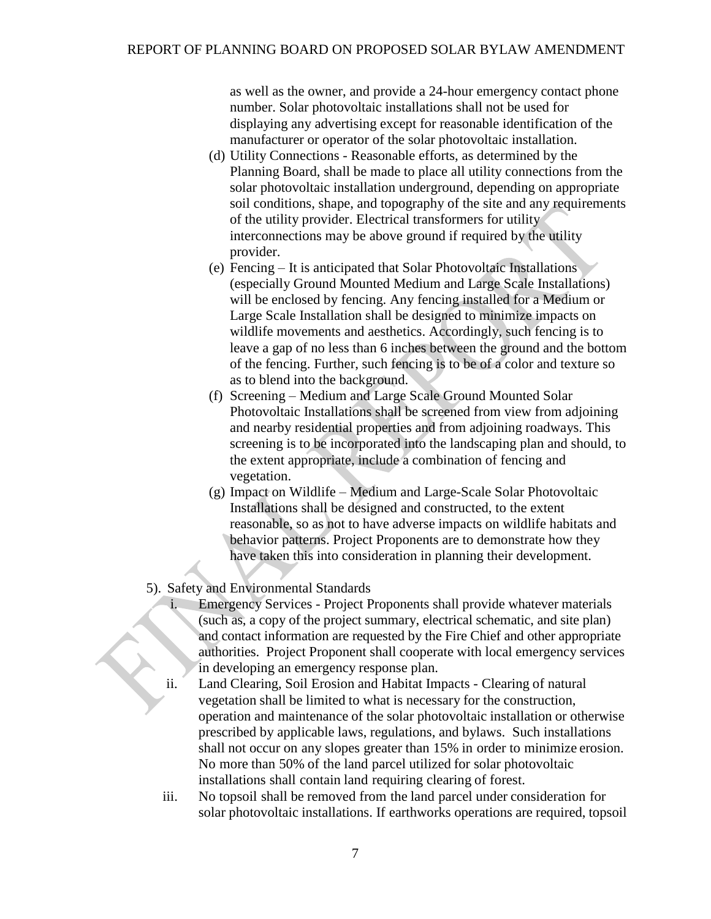as well as the owner, and provide a 24-hour emergency contact phone number. Solar photovoltaic installations shall not be used for displaying any advertising except for reasonable identification of the manufacturer or operator of the solar photovoltaic installation.

- (d) Utility Connections Reasonable efforts, as determined by the Planning Board, shall be made to place all utility connections from the solar photovoltaic installation underground, depending on appropriate soil conditions, shape, and topography of the site and any requirements of the utility provider. Electrical transformers for utility interconnections may be above ground if required by the utility provider.
- (e) Fencing It is anticipated that Solar Photovoltaic Installations (especially Ground Mounted Medium and Large Scale Installations) will be enclosed by fencing. Any fencing installed for a Medium or Large Scale Installation shall be designed to minimize impacts on wildlife movements and aesthetics. Accordingly, such fencing is to leave a gap of no less than 6 inches between the ground and the bottom of the fencing. Further, such fencing is to be of a color and texture so as to blend into the background.
- (f) Screening Medium and Large Scale Ground Mounted Solar Photovoltaic Installations shall be screened from view from adjoining and nearby residential properties and from adjoining roadways. This screening is to be incorporated into the landscaping plan and should, to the extent appropriate, include a combination of fencing and vegetation.
- (g) Impact on Wildlife Medium and Large-Scale Solar Photovoltaic Installations shall be designed and constructed, to the extent reasonable, so as not to have adverse impacts on wildlife habitats and behavior patterns. Project Proponents are to demonstrate how they have taken this into consideration in planning their development.
- 5). Safety and Environmental Standards
	- Emergency Services Project Proponents shall provide whatever materials (such as, a copy of the project summary, electrical schematic, and site plan) and contact information are requested by the Fire Chief and other appropriate authorities. Project Proponent shall cooperate with local emergency services in developing an emergency response plan.
	- ii. Land Clearing, Soil Erosion and Habitat Impacts Clearing of natural vegetation shall be limited to what is necessary for the construction, operation and maintenance of the solar photovoltaic installation or otherwise prescribed by applicable laws, regulations, and bylaws. Such installations shall not occur on any slopes greater than 15% in order to minimize erosion. No more than 50% of the land parcel utilized for solar photovoltaic installations shall contain land requiring clearing of forest.
	- iii. No topsoil shall be removed from the land parcel under consideration for solar photovoltaic installations. If earthworks operations are required, topsoil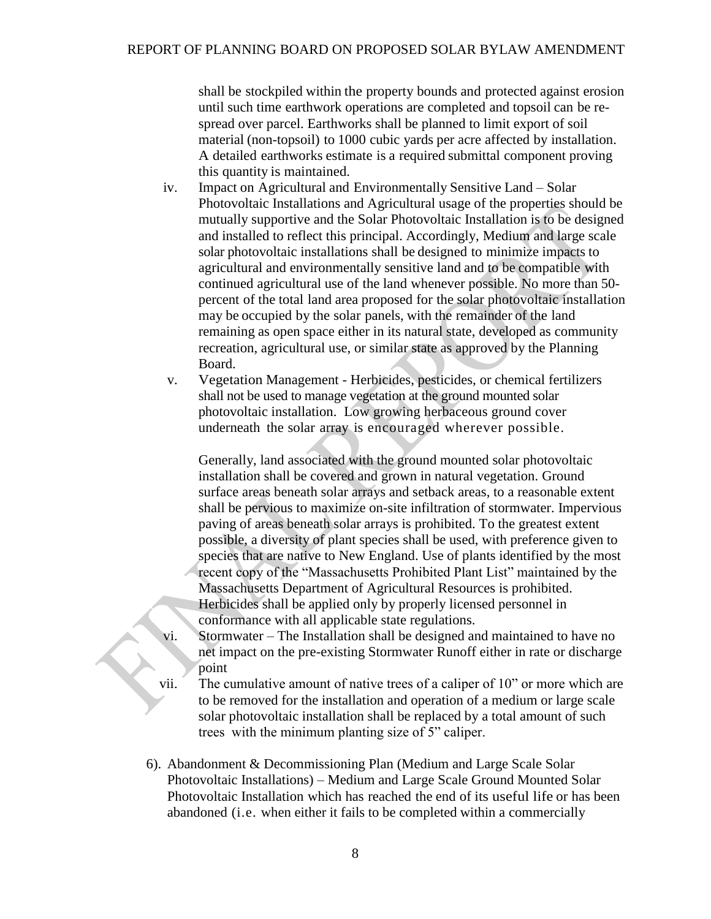shall be stockpiled within the property bounds and protected against erosion until such time earthwork operations are completed and topsoil can be respread over parcel. Earthworks shall be planned to limit export of soil material (non-topsoil) to 1000 cubic yards per acre affected by installation. A detailed earthworks estimate is a required submittal component proving this quantity is maintained.

- iv. Impact on Agricultural and Environmentally Sensitive Land Solar Photovoltaic Installations and Agricultural usage of the properties should be mutually supportive and the Solar Photovoltaic Installation is to be designed and installed to reflect this principal. Accordingly, Medium and large scale solar photovoltaic installations shall be designed to minimize impacts to agricultural and environmentally sensitive land and to be compatible with continued agricultural use of the land whenever possible. No more than 50 percent of the total land area proposed for the solar photovoltaic installation may be occupied by the solar panels, with the remainder of the land remaining as open space either in its natural state, developed as community recreation, agricultural use, or similar state as approved by the Planning Board.
- v. Vegetation Management Herbicides, pesticides, or chemical fertilizers shall not be used to manage vegetation at the ground mounted solar photovoltaic installation. Low growing herbaceous ground cover underneath the solar array is encouraged wherever possible.

Generally, land associated with the ground mounted solar photovoltaic installation shall be covered and grown in natural vegetation. Ground surface areas beneath solar arrays and setback areas, to a reasonable extent shall be pervious to maximize on-site infiltration of stormwater. Impervious paving of areas beneath solar arrays is prohibited. To the greatest extent possible, a diversity of plant species shall be used, with preference given to species that are native to New England. Use of plants identified by the most recent copy of the "Massachusetts Prohibited Plant List" maintained by the Massachusetts Department of Agricultural Resources is prohibited. Herbicides shall be applied only by properly licensed personnel in conformance with all applicable state regulations.

- vi. Stormwater The Installation shall be designed and maintained to have no net impact on the pre-existing Stormwater Runoff either in rate or discharge point
- vii. The cumulative amount of native trees of a caliper of 10" or more which are to be removed for the installation and operation of a medium or large scale solar photovoltaic installation shall be replaced by a total amount of such trees with the minimum planting size of 5" caliper.
- 6). Abandonment & Decommissioning Plan (Medium and Large Scale Solar Photovoltaic Installations) – Medium and Large Scale Ground Mounted Solar Photovoltaic Installation which has reached the end of its useful life or has been abandoned (i.e. when either it fails to be completed within a commercially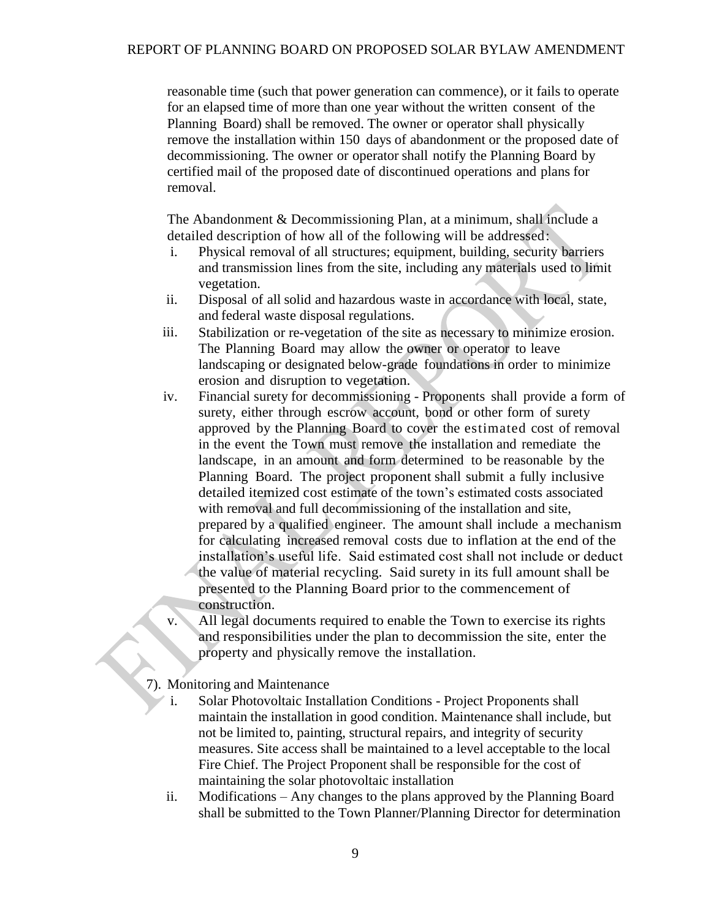reasonable time (such that power generation can commence), or it fails to operate for an elapsed time of more than one year without the written consent of the Planning Board) shall be removed. The owner or operator shall physically remove the installation within 150 days of abandonment or the proposed date of decommissioning. The owner or operator shall notify the Planning Board by certified mail of the proposed date of discontinued operations and plans for removal.

The Abandonment & Decommissioning Plan, at a minimum, shall include a detailed description of how all of the following will be addressed:

- i. Physical removal of all structures; equipment, building, security barriers and transmission lines from the site, including any materials used to limit vegetation.
- ii. Disposal of all solid and hazardous waste in accordance with local, state, and federal waste disposal regulations.
- iii. Stabilization or re-vegetation of the site as necessary to minimize erosion. The Planning Board may allow the owner or operator to leave landscaping or designated below-grade foundations in order to minimize erosion and disruption to vegetation.
- iv. Financial surety for decommissioning Proponents shall provide a form of surety, either through escrow account, bond or other form of surety approved by the Planning Board to cover the estimated cost of removal in the event the Town must remove the installation and remediate the landscape, in an amount and form determined to be reasonable by the Planning Board. The project proponent shall submit a fully inclusive detailed itemized cost estimate of the town's estimated costs associated with removal and full decommissioning of the installation and site, prepared by a qualified engineer. The amount shall include a mechanism for calculating increased removal costs due to inflation at the end of the installation's useful life. Said estimated cost shall not include or deduct the value of material recycling. Said surety in its full amount shall be presented to the Planning Board prior to the commencement of construction.
- v. All legal documents required to enable the Town to exercise its rights and responsibilities under the plan to decommission the site, enter the property and physically remove the installation.
- 7). Monitoring and Maintenance
	- i. Solar Photovoltaic Installation Conditions Project Proponents shall maintain the installation in good condition. Maintenance shall include, but not be limited to, painting, structural repairs, and integrity of security measures. Site access shall be maintained to a level acceptable to the local Fire Chief. The Project Proponent shall be responsible for the cost of maintaining the solar photovoltaic installation
	- ii. Modifications Any changes to the plans approved by the Planning Board shall be submitted to the Town Planner/Planning Director for determination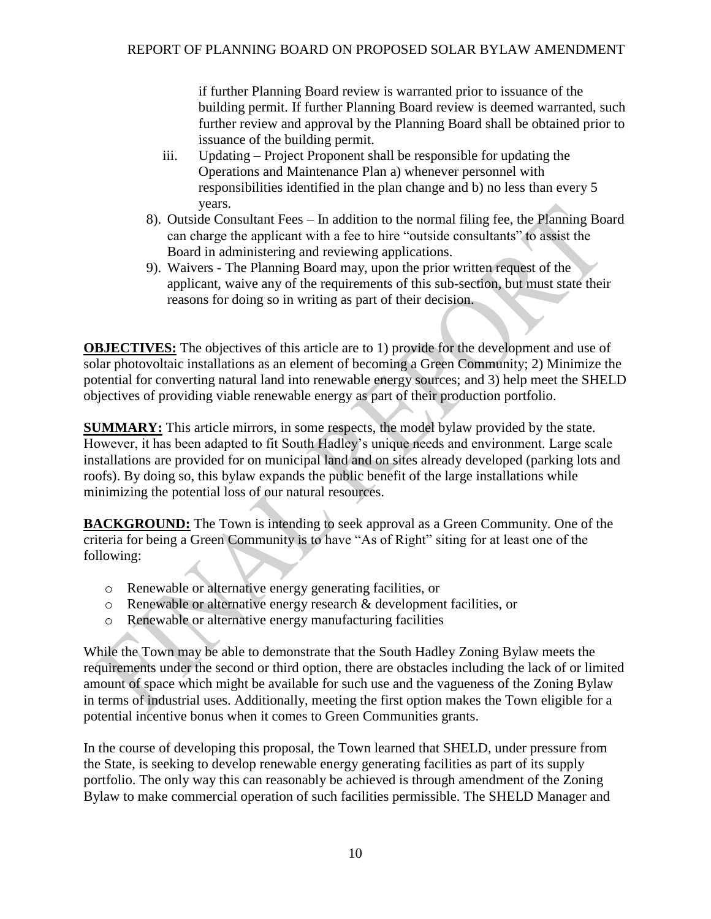if further Planning Board review is warranted prior to issuance of the building permit. If further Planning Board review is deemed warranted, such further review and approval by the Planning Board shall be obtained prior to issuance of the building permit.

- iii. Updating Project Proponent shall be responsible for updating the Operations and Maintenance Plan a) whenever personnel with responsibilities identified in the plan change and b) no less than every 5 years.
- 8). Outside Consultant Fees In addition to the normal filing fee, the Planning Board can charge the applicant with a fee to hire "outside consultants" to assist the Board in administering and reviewing applications.
- 9). Waivers The Planning Board may, upon the prior written request of the applicant, waive any of the requirements of this sub-section, but must state their reasons for doing so in writing as part of their decision.

**OBJECTIVES:** The objectives of this article are to 1) provide for the development and use of solar photovoltaic installations as an element of becoming a Green Community; 2) Minimize the potential for converting natural land into renewable energy sources; and 3) help meet the SHELD objectives of providing viable renewable energy as part of their production portfolio.

**SUMMARY:** This article mirrors, in some respects, the model bylaw provided by the state. However, it has been adapted to fit South Hadley's unique needs and environment. Large scale installations are provided for on municipal land and on sites already developed (parking lots and roofs). By doing so, this bylaw expands the public benefit of the large installations while minimizing the potential loss of our natural resources.

**BACKGROUND:** The Town is intending to seek approval as a Green Community. One of the criteria for being a Green Community is to have "As of Right" siting for at least one of the following:

- o Renewable or alternative energy generating facilities, or
- o Renewable or alternative energy research & development facilities, or
- o Renewable or alternative energy manufacturing facilities

While the Town may be able to demonstrate that the South Hadley Zoning Bylaw meets the requirements under the second or third option, there are obstacles including the lack of or limited amount of space which might be available for such use and the vagueness of the Zoning Bylaw in terms of industrial uses. Additionally, meeting the first option makes the Town eligible for a potential incentive bonus when it comes to Green Communities grants.

In the course of developing this proposal, the Town learned that SHELD, under pressure from the State, is seeking to develop renewable energy generating facilities as part of its supply portfolio. The only way this can reasonably be achieved is through amendment of the Zoning Bylaw to make commercial operation of such facilities permissible. The SHELD Manager and